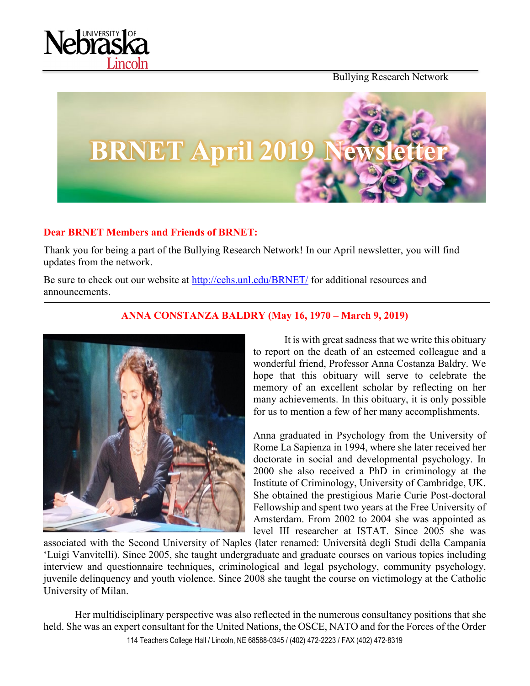Bullying Research Network





## **Dear BRNET Members and Friends of BRNET:**

Thank you for being a part of the Bullying Research Network! In our April newsletter, you will find updates from the network.

Be sure to check out our website at<http://cehs.unl.edu/BRNET/> for additional resources and announcements.



# **ANNA CONSTANZA BALDRY (May 16, 1970 – March 9, 2019)**

It is with great sadness that we write this obituary to report on the death of an esteemed colleague and a wonderful friend, Professor Anna Costanza Baldry. We hope that this obituary will serve to celebrate the memory of an excellent scholar by reflecting on her many achievements. In this obituary, it is only possible for us to mention a few of her many accomplishments.

Anna graduated in Psychology from the University of Rome La Sapienza in 1994, where she later received her doctorate in social and developmental psychology. In 2000 she also received a PhD in criminology at the Institute of Criminology, University of Cambridge, UK. She obtained the prestigious Marie Curie Post-doctoral Fellowship and spent two years at the Free University of Amsterdam. From 2002 to 2004 she was appointed as level III researcher at ISTAT. Since 2005 she was

associated with the Second University of Naples (later renamed: [Università degli Studi della Campania](https://www.unicampania.it/)  ['Luigi Vanvitelli\). Since 2005, she taught undergraduate and graduate courses on various topics including](https://www.unicampania.it/)  [interview and questionnaire techniques, criminological and legal psychology, community psychology,](https://www.unicampania.it/)  [juvenile delinquency and youth violence. Since 2008 she taught the course on victimology](https://www.unicampania.it/) at the Catholic [University of Milan.](https://www.unicampania.it/)

114 Teachers College Hall / Lincoln, NE 68588-0345 / (402) 472-2223 / FAX (402) 472-8319 Her multidisciplinary perspective was also reflected in the numerous consultancy positions that she held. She was an expert consultant for the United Nations, the OSCE, NATO and for the Forces of the Order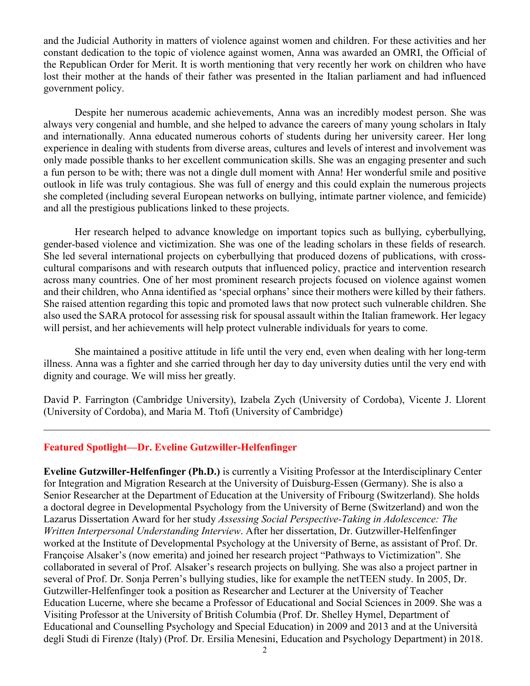and the Judicial Authority in matters of violence against women and children. For these activities and her constant dedication to the topic of violence against women, Anna was awarded an OMRI, the Official of the Republican Order for Merit. It is worth mentioning that very recently her work on children who have lost their mother at the hands of their father was presented in the Italian parliament and had influenced government policy.

Despite her numerous academic achievements, Anna was an incredibly modest person. She was always very congenial and humble, and she helped to advance the careers of many young scholars in Italy and internationally. Anna educated numerous cohorts of students during her university career. Her long experience in dealing with students from diverse areas, cultures and levels of interest and involvement was only made possible thanks to her excellent communication skills. She was an engaging presenter and such a fun person to be with; there was not a dingle dull moment with Anna! Her wonderful smile and positive outlook in life was truly contagious. She was full of energy and this could explain the numerous projects she completed (including several European networks on bullying, intimate partner violence, and femicide) and all the prestigious publications linked to these projects.

Her research helped to advance knowledge on important topics such as bullying, cyberbullying, gender-based violence and victimization. She was one of the leading scholars in these fields of research. She led several international projects on cyberbullying that produced dozens of publications, with crosscultural comparisons and with research outputs that influenced policy, practice and intervention research across many countries. One of her most prominent research projects focused on violence against women and their children, who Anna identified as 'special orphans' since their mothers were killed by their fathers. She raised attention regarding this topic and promoted laws that now protect such vulnerable children. She also used the SARA protocol for assessing risk for spousal assault within the Italian framework. Her legacy will persist, and her achievements will help protect vulnerable individuals for years to come.

She maintained a positive attitude in life until the very end, even when dealing with her long-term illness. Anna was a fighter and she carried through her day to day university duties until the very end with dignity and courage. We will miss her greatly.

David P. Farrington (Cambridge University), Izabela Zych (University of Cordoba), Vicente J. Llorent (University of Cordoba), and Maria M. Ttofi (University of Cambridge)

### **Featured Spotlight—Dr. Eveline Gutzwiller-Helfenfinger**

**Eveline Gutzwiller-Helfenfinger (Ph.D.)** is currently a Visiting Professor at the Interdisciplinary Center for Integration and Migration Research at the University of Duisburg-Essen (Germany). She is also a Senior Researcher at the Department of Education at the University of Fribourg (Switzerland). She holds a doctoral degree in Developmental Psychology from the University of Berne (Switzerland) and won the Lazarus Dissertation Award for her study *Assessing Social Perspective-Taking in Adolescence: The Written Interpersonal Understanding Interview*. After her dissertation, Dr. Gutzwiller-Helfenfinger worked at the Institute of Developmental Psychology at the University of Berne, as assistant of Prof. Dr. Françoise Alsaker's (now emerita) and joined her research project "Pathways to Victimization". She collaborated in several of Prof. Alsaker's research projects on bullying. She was also a project partner in several of Prof. Dr. Sonja Perren's bullying studies, like for example the netTEEN study. In 2005, Dr. Gutzwiller-Helfenfinger took a position as Researcher and Lecturer at the University of Teacher Education Lucerne, where she became a Professor of Educational and Social Sciences in 2009. She was a Visiting Professor at the University of British Columbia (Prof. Dr. Shelley Hymel, Department of Educational and Counselling Psychology and Special Education) in 2009 and 2013 and at the Università degli Studi di Firenze (Italy) (Prof. Dr. Ersilia Menesini, Education and Psychology Department) in 2018.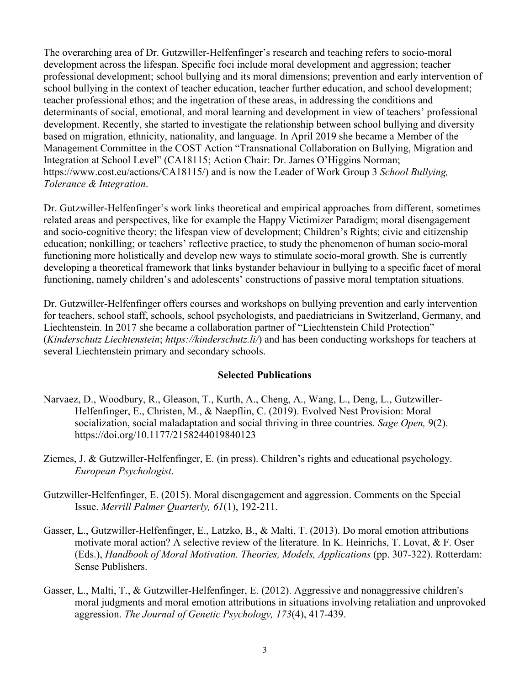The overarching area of Dr. Gutzwiller-Helfenfinger's research and teaching refers to socio-moral development across the lifespan. Specific foci include moral development and aggression; teacher professional development; school bullying and its moral dimensions; prevention and early intervention of school bullying in the context of teacher education, teacher further education, and school development; teacher professional ethos; and the ingetration of these areas, in addressing the conditions and determinants of social, emotional, and moral learning and development in view of teachers' professional development. Recently, she started to investigate the relationship between school bullying and diversity based on migration, ethnicity, nationality, and language. In April 2019 she became a Member of the Management Committee in the COST Action "Transnational Collaboration on Bullying, Migration and Integration at School Level" (CA18115; Action Chair: Dr. James O'Higgins Norman; https://www.cost.eu/actions/CA18115/) and is now the Leader of Work Group 3 *School Bullying, Tolerance & Integration*.

Dr. Gutzwiller-Helfenfinger's work links theoretical and empirical approaches from different, sometimes related areas and perspectives, like for example the Happy Victimizer Paradigm; moral disengagement and socio-cognitive theory; the lifespan view of development; Children's Rights; civic and citizenship education; nonkilling; or teachers' reflective practice, to study the phenomenon of human socio-moral functioning more holistically and develop new ways to stimulate socio-moral growth. She is currently developing a theoretical framework that links bystander behaviour in bullying to a specific facet of moral functioning, namely children's and adolescents' constructions of passive moral temptation situations.

Dr. Gutzwiller-Helfenfinger offers courses and workshops on bullying prevention and early intervention for teachers, school staff, schools, school psychologists, and paediatricians in Switzerland, Germany, and Liechtenstein. In 2017 she became a collaboration partner of "Liechtenstein Child Protection" (*Kinderschutz Liechtenstein*; *https://kinderschutz.li/*) and has been conducting workshops for teachers at several Liechtenstein primary and secondary schools.

### **Selected Publications**

- Narvaez, D., Woodbury, R., Gleason, T., Kurth, A., Cheng, A., Wang, L., Deng, L., Gutzwiller-Helfenfinger, E., Christen, M., & Naepflin, C. (2019). Evolved Nest Provision: Moral socialization, social maladaptation and social thriving in three countries. *Sage Open,* 9(2). https://doi.org/10.1177/2158244019840123
- Ziemes, J. & Gutzwiller-Helfenfinger, E. (in press). Children's rights and educational psychology. *European Psychologist*.
- Gutzwiller-Helfenfinger, E. (2015). Moral disengagement and aggression. Comments on the Special Issue. *Merrill Palmer Quarterly, 61*(1), 192-211.
- Gasser, L., Gutzwiller-Helfenfinger, E., Latzko, B., & Malti, T. (2013). Do moral emotion attributions motivate moral action? A selective review of the literature. In K. Heinrichs, T. Lovat, & F. Oser (Eds.), *Handbook of Moral Motivation. Theories, Models, Applications* (pp. 307-322). Rotterdam: Sense Publishers.
- Gasser, L., Malti, T., & Gutzwiller-Helfenfinger, E. (2012). Aggressive and nonaggressive children's moral judgments and moral emotion attributions in situations involving retaliation and unprovoked aggression. *The Journal of Genetic Psychology, 173*(4), 417-439.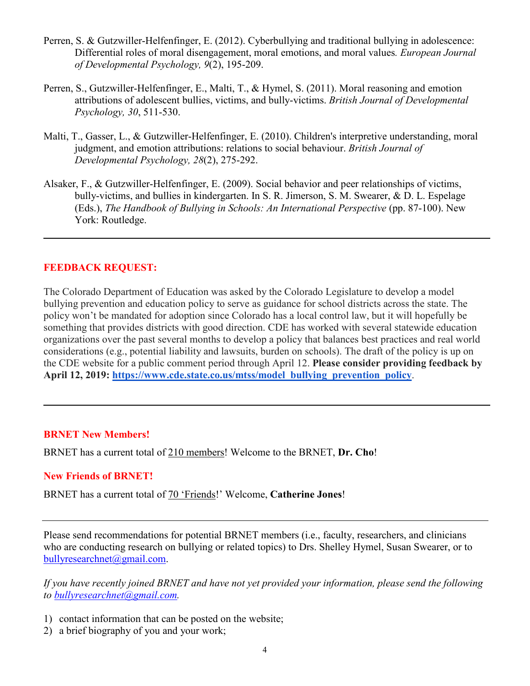- Perren, S. & Gutzwiller-Helfenfinger, E. (2012). Cyberbullying and traditional bullying in adolescence: Differential roles of moral disengagement, moral emotions, and moral values*. European Journal of Developmental Psychology, 9*(2), 195-209.
- Perren, S., Gutzwiller-Helfenfinger, E., Malti, T., & Hymel, S. (2011). Moral reasoning and emotion attributions of adolescent bullies, victims, and bully-victims. *British Journal of Developmental Psychology, 30*, 511-530.
- Malti, T., Gasser, L., & Gutzwiller-Helfenfinger, E. (2010). Children's interpretive understanding, moral judgment, and emotion attributions: relations to social behaviour. *British Journal of Developmental Psychology, 28*(2), 275-292.
- Alsaker, F., & Gutzwiller-Helfenfinger, E. (2009). Social behavior and peer relationships of victims, bully-victims, and bullies in kindergarten. In S. R. Jimerson, S. M. Swearer, & D. L. Espelage (Eds.), *The Handbook of Bullying in Schools: An International Perspective* (pp. 87-100). New York: Routledge.

## **FEEDBACK REQUEST:**

The Colorado Department of Education was asked by the Colorado Legislature to develop a model bullying prevention and education policy to serve as guidance for school districts across the state. The policy won't be mandated for adoption since Colorado has a local control law, but it will hopefully be something that provides districts with good direction. CDE has worked with several statewide education organizations over the past several months to develop a policy that balances best practices and real world considerations (e.g., potential liability and lawsuits, burden on schools). The draft of the policy is up on the CDE website for a public comment period through April 12. **Please consider providing feedback by April 12, 2019: [https://www.cde.state.co.us/mtss/model\\_bullying\\_prevention\\_policy](https://urldefense.proofpoint.com/v2/url?u=https-3A__www.cde.state.co.us_mtss_model-5Fbullying-5Fprevention-5Fpolicy&d=DwMGaQ&c=Cu5g146wZdoqVuKpTNsYHeFX_rg6kWhlkLF8Eft-wwo&r=cXoPjE5bhAYAw7UpUbU1OVNKQBjHq0uZTOrbgqFBDIg&m=dKLpzgXpOd1eqAfE67PHqOaxAxYf6fyI33i8rhU3WaU&s=FBIYw_ByknYJ5-w59iUYW8U3iKHiEcAL5JbAW-qXWXM&e=)**.

### **BRNET New Members!**

BRNET has a current total of 210 members! Welcome to the BRNET, **Dr. Cho**!

## **New Friends of BRNET!**

BRNET has a current total of 70 'Friends!' Welcome, **Catherine Jones**!

Please send recommendations for potential BRNET members (i.e., faculty, researchers, and clinicians who are conducting research on bullying or related topics) to Drs. Shelley Hymel, Susan Swearer, or to [bullyresearchnet@gmail.com.](mailto:bullyresearchnet@gmail.com)

*If you have recently joined BRNET and have not yet provided your information, please send the following to [bullyresearchnet@gmail.com.](mailto:bullyresearchnet@gmail.com)*

- 1) contact information that can be posted on the website;
- 2) a brief biography of you and your work;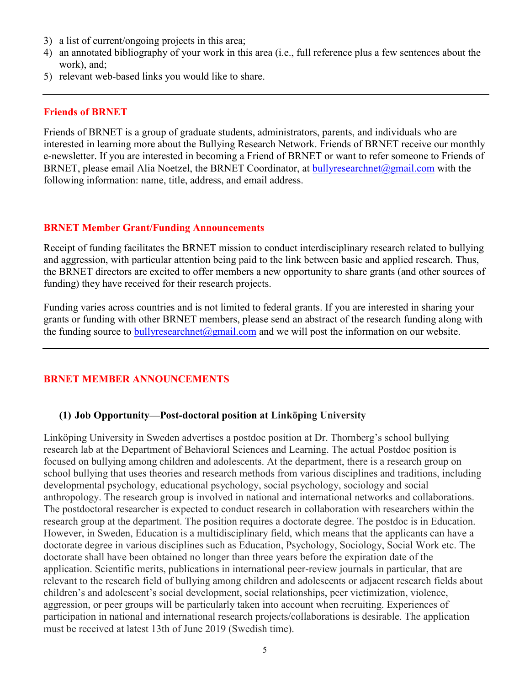- 3) a list of current/ongoing projects in this area;
- 4) an annotated bibliography of your work in this area (i.e., full reference plus a few sentences about the work), and;
- 5) relevant web-based links you would like to share.

#### **Friends of BRNET**

Friends of BRNET is a group of graduate students, administrators, parents, and individuals who are interested in learning more about the Bullying Research Network. Friends of BRNET receive our monthly e-newsletter. If you are interested in becoming a Friend of BRNET or want to refer someone to Friends of BRNET, please email Alia Noetzel, the BRNET Coordinator, at [bullyresearchnet@gmail.com](mailto:bullyresearchnet@gmail.com) with the following information: name, title, address, and email address.

#### **BRNET Member Grant/Funding Announcements**

Receipt of funding facilitates the BRNET mission to conduct interdisciplinary research related to bullying and aggression, with particular attention being paid to the link between basic and applied research. Thus, the BRNET directors are excited to offer members a new opportunity to share grants (and other sources of funding) they have received for their research projects.

Funding varies across countries and is not limited to federal grants. If you are interested in sharing your grants or funding with other BRNET members, please send an abstract of the research funding along with the funding source to bully research net  $\omega$  gmail.com and we will post the information on our website.

## **BRNET MEMBER ANNOUNCEMENTS**

### **(1) Job Opportunity—Post-doctoral position at Linköping University**

Linköping University in Sweden advertises a postdoc position at Dr. Thornberg's school bullying research lab at the Department of Behavioral Sciences and Learning. The actual Postdoc position is focused on bullying among children and adolescents. At the department, there is a research group on school bullying that uses theories and research methods from various disciplines and traditions, including developmental psychology, educational psychology, social psychology, sociology and social anthropology. The research group is involved in national and international networks and collaborations. The postdoctoral researcher is expected to conduct research in collaboration with researchers within the research group at the department. The position requires a doctorate degree. The postdoc is in Education. However, in Sweden, Education is a multidisciplinary field, which means that the applicants can have a doctorate degree in various disciplines such as Education, Psychology, Sociology, Social Work etc. The doctorate shall have been obtained no longer than three years before the expiration date of the application. Scientific merits, publications in international peer-review journals in particular, that are relevant to the research field of bullying among children and adolescents or adjacent research fields about children's and adolescent's social development, social relationships, peer victimization, violence, aggression, or peer groups will be particularly taken into account when recruiting. Experiences of participation in national and international research projects/collaborations is desirable. The application must be received at latest 13th of June 2019 (Swedish time).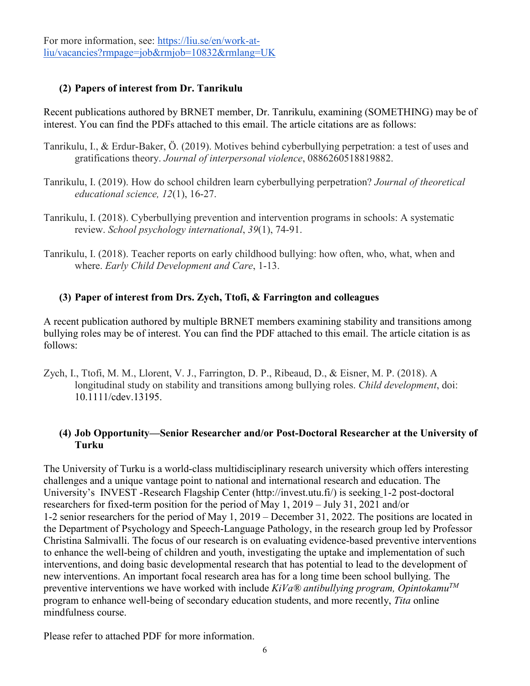For more information, see: [https://liu.se/en/work-at](https://liu.se/en/work-at-liu/vacancies?rmpage=job&rmjob=10832&rmlang=UK)[liu/vacancies?rmpage=job&rmjob=10832&rmlang=UK](https://liu.se/en/work-at-liu/vacancies?rmpage=job&rmjob=10832&rmlang=UK)

# **(2) Papers of interest from Dr. Tanrikulu**

Recent publications authored by BRNET member, Dr. Tanrikulu, examining (SOMETHING) may be of interest. You can find the PDFs attached to this email. The article citations are as follows:

- Tanrikulu, I., & Erdur-Baker, Ö. (2019). Motives behind cyberbullying perpetration: a test of uses and gratifications theory. *Journal of interpersonal violence*, 0886260518819882.
- Tanrikulu, I. (2019). How do school children learn cyberbullying perpetration? *Journal of theoretical educational science, 12*(1), 16-27.
- Tanrikulu, I. (2018). Cyberbullying prevention and intervention programs in schools: A systematic review. *School psychology international*, *39*(1), 74-91.
- Tanrikulu, I. (2018). Teacher reports on early childhood bullying: how often, who, what, when and where. *Early Child Development and Care*, 1-13.

## **(3) Paper of interest from Drs. Zych, Ttofi, & Farrington and colleagues**

A recent publication authored by multiple BRNET members examining stability and transitions among bullying roles may be of interest. You can find the PDF attached to this email. The article citation is as follows:

Zych, I., Ttofi, M. M., Llorent, V. J., Farrington, D. P., Ribeaud, D., & Eisner, M. P. (2018). A longitudinal study on stability and transitions among bullying roles. *Child development*, doi: [10.1111/cdev.13195.](https://doi.org/10.1111/cdev.13195)

## **(4) Job Opportunity—Senior Researcher and/or Post-Doctoral Researcher at the University of Turku**

The University of Turku is a world-class multidisciplinary research university which offers interesting challenges and a unique vantage point to national and international research and education. The University's INVEST -Research Flagship Center [\(http://invest.utu.fi/\)](http://invest.utu.fi/) is seeking 1-2 post-doctoral researchers for fixed-term position for the period of May 1, 2019 – July 31, 2021 and/or 1-2 senior researchers for the period of May 1, 2019 – December 31, 2022. The positions are located in the Department of Psychology and Speech-Language Pathology, in the research group led by Professor Christina Salmivalli. The focus of our research is on evaluating evidence-based preventive interventions to enhance the well-being of children and youth, investigating the uptake and implementation of such interventions, and doing basic developmental research that has potential to lead to the development of new interventions. An important focal research area has for a long time been school bullying. The preventive interventions we have worked with include *KiVa® antibullying program, OpintokamuTM* program to enhance well-being of secondary education students, and more recently, *Tita* online mindfulness course.

Please refer to attached PDF for more information.